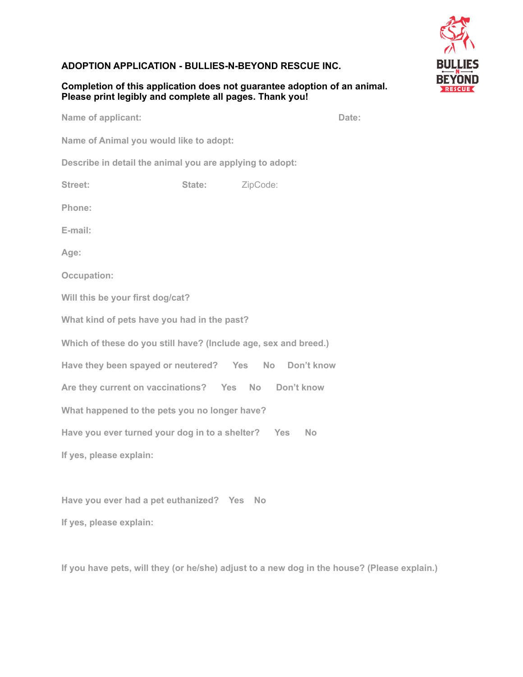## **ADOPTION APPLICATION - BULLIES-N-BEYOND RESCUE INC.**

## **Completion of this application does not guarantee adoption of an animal. Please print legibly and complete all pages. Thank you!**

**RESCUE** 

**Name of applicant:** Date:

**Name of Animal you would like to adopt:** 

**Describe in detail the animal you are applying to adopt:** 

| Street: | State: | ZipCode: |
|---------|--------|----------|
|---------|--------|----------|

**Phone:** 

**E-mail:**

**Age:** 

**Occupation:** 

**Will this be your first dog/cat?**

**What kind of pets have you had in the past?**

**Which of these do you still have? (Include age, sex and breed.)**

**Have they been spayed or neutered? Yes No Don't know** 

**Are they current on vaccinations? Yes No Don't know** 

**What happened to the pets you no longer have?** 

Have you ever turned your dog in to a shelter? Yes No

**If yes, please explain:** 

**Have you ever had a pet euthanized? Yes No If yes, please explain:** 

**If you have pets, will they (or he/she) adjust to a new dog in the house? (Please explain.)**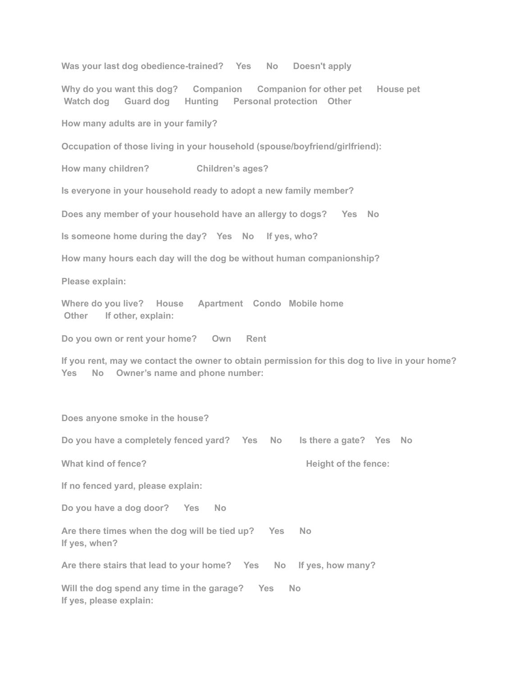**Was your last dog obedience-trained? Yes No Doesn't apply** 

**Why do you want this dog? Companion Companion for other pet House pet Watch dog Guard dog Hunting Personal protection Other** 

**How many adults are in your family?** 

**Occupation of those living in your household (spouse/boyfriend/girlfriend):** 

**How many children? Children's ages?** 

**Is everyone in your household ready to adopt a new family member?** 

**Does any member of your household have an allergy to dogs? Yes No** 

**Is someone home during the day? Yes No If yes, who?** 

**How many hours each day will the dog be without human companionship?** 

**Please explain:** 

**Where do you live? House Apartment Condo Mobile home**  Other If other, explain:

**Do you own or rent your home? Own Rent** 

**If you rent, may we contact the owner to obtain permission for this dog to live in your home? Yes No Owner's name and phone number:** 

**Does anyone smoke in the house?** 

**Do you have a completely fenced yard? Yes No Is there a gate? Yes No** 

What kind of fence? **Height of the fence: Height of the fence:** 

**If no fenced yard, please explain:** 

**Do you have a dog door? Yes No** 

**Are there times when the dog will be tied up? Yes No If yes, when?** 

**Are there stairs that lead to your home? Yes No If yes, how many?** 

**Will the dog spend any time in the garage? Yes No If yes, please explain:**